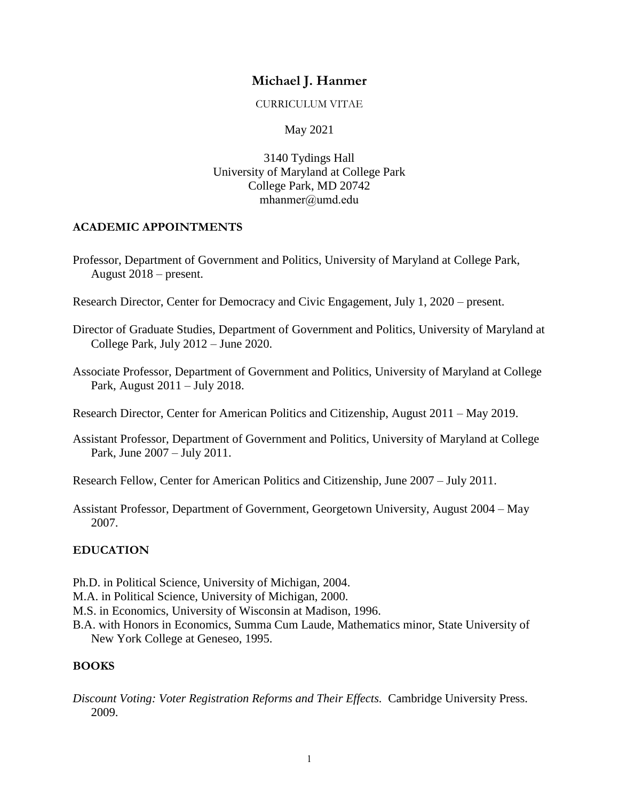# **Michael J. Hanmer**

#### CURRICULUM VITAE

## May 2021

3140 Tydings Hall University of Maryland at College Park College Park, MD 20742 mhanmer@umd.edu

## **ACADEMIC APPOINTMENTS**

- Professor, Department of Government and Politics, University of Maryland at College Park, August 2018 – present.
- Research Director, Center for Democracy and Civic Engagement, July 1, 2020 present.
- Director of Graduate Studies, Department of Government and Politics, University of Maryland at College Park, July 2012 – June 2020.
- Associate Professor, Department of Government and Politics, University of Maryland at College Park, August 2011 – July 2018.
- Research Director, Center for American Politics and Citizenship, August 2011 May 2019.
- Assistant Professor, Department of Government and Politics, University of Maryland at College Park, June 2007 – July 2011.

Research Fellow, Center for American Politics and Citizenship, June 2007 – July 2011.

Assistant Professor, Department of Government, Georgetown University, August 2004 – May 2007.

## **EDUCATION**

- Ph.D. in Political Science, University of Michigan, 2004.
- M.A. in Political Science, University of Michigan, 2000.
- M.S. in Economics, University of Wisconsin at Madison, 1996.
- B.A. with Honors in Economics, Summa Cum Laude, Mathematics minor, State University of New York College at Geneseo, 1995.

## **BOOKS**

*Discount Voting: Voter Registration Reforms and Their Effects.* Cambridge University Press. 2009.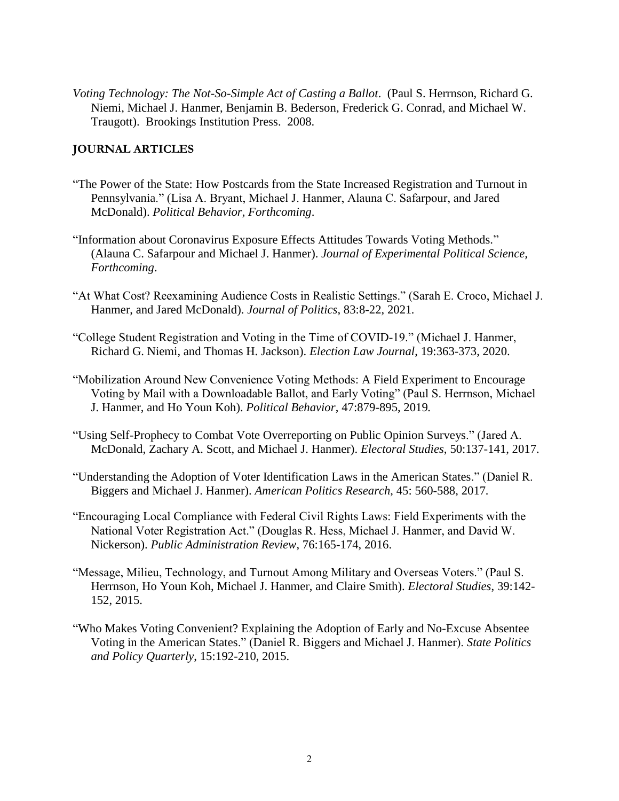*Voting Technology: The Not-So-Simple Act of Casting a Ballot*. (Paul S. Herrnson, Richard G. Niemi, Michael J. Hanmer, Benjamin B. Bederson, Frederick G. Conrad, and Michael W. Traugott). Brookings Institution Press. 2008.

#### **JOURNAL ARTICLES**

- "The Power of the State: How Postcards from the State Increased Registration and Turnout in Pennsylvania." (Lisa A. Bryant, Michael J. Hanmer, Alauna C. Safarpour, and Jared McDonald). *Political Behavior, Forthcoming*.
- "Information about Coronavirus Exposure Effects Attitudes Towards Voting Methods." (Alauna C. Safarpour and Michael J. Hanmer). *Journal of Experimental Political Science, Forthcoming*.
- "At What Cost? Reexamining Audience Costs in Realistic Settings." (Sarah E. Croco, Michael J. Hanmer, and Jared McDonald). *Journal of Politics*, 83:8-22, 2021*.*
- "College Student Registration and Voting in the Time of COVID-19." (Michael J. Hanmer, Richard G. Niemi, and Thomas H. Jackson). *Election Law Journal*, 19:363-373, 2020.
- "Mobilization Around New Convenience Voting Methods: A Field Experiment to Encourage Voting by Mail with a Downloadable Ballot, and Early Voting" (Paul S. Herrnson, Michael J. Hanmer, and Ho Youn Koh). *Political Behavior*, 47:879-895, 2019*.*
- "Using Self-Prophecy to Combat Vote Overreporting on Public Opinion Surveys." (Jared A. McDonald, Zachary A. Scott, and Michael J. Hanmer). *Electoral Studies*, 50:137-141, 2017.
- "Understanding the Adoption of Voter Identification Laws in the American States." (Daniel R. Biggers and Michael J. Hanmer). *American Politics Research*, 45: 560-588, 2017*.*
- "Encouraging Local Compliance with Federal Civil Rights Laws: Field Experiments with the National Voter Registration Act." (Douglas R. Hess, Michael J. Hanmer, and David W. Nickerson). *Public Administration Review*, 76:165-174, 2016.
- "Message, Milieu, Technology, and Turnout Among Military and Overseas Voters." (Paul S. Herrnson, Ho Youn Koh, Michael J. Hanmer, and Claire Smith). *Electoral Studies*, 39:142- 152, 2015.
- "Who Makes Voting Convenient? Explaining the Adoption of Early and No-Excuse Absentee Voting in the American States." (Daniel R. Biggers and Michael J. Hanmer). *State Politics and Policy Quarterly*, 15:192-210, 2015.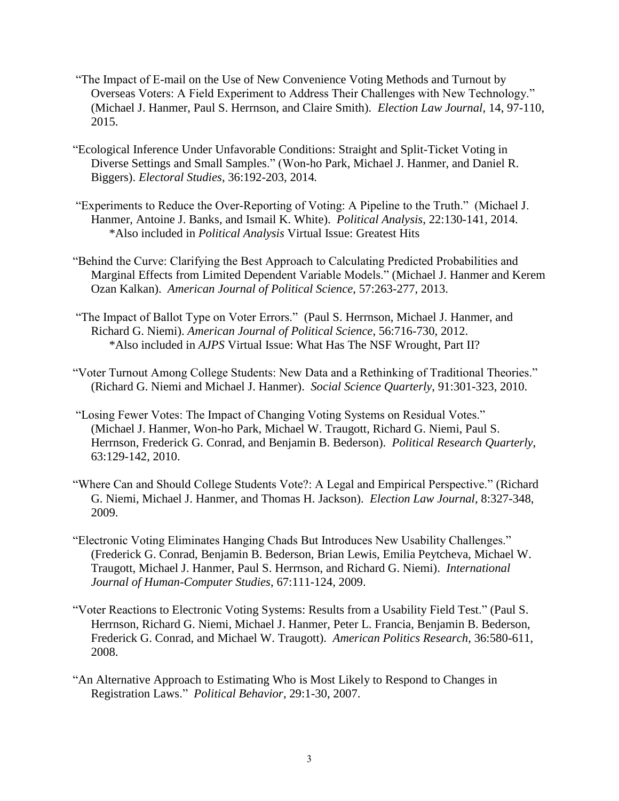- "The Impact of E-mail on the Use of New Convenience Voting Methods and Turnout by Overseas Voters: A Field Experiment to Address Their Challenges with New Technology." (Michael J. Hanmer, Paul S. Herrnson, and Claire Smith). *Election Law Journal*, 14, 97-110, 2015.
- "Ecological Inference Under Unfavorable Conditions: Straight and Split-Ticket Voting in Diverse Settings and Small Samples." (Won-ho Park, Michael J. Hanmer, and Daniel R. Biggers). *Electoral Studies*, 36:192-203, 2014*.*
- "Experiments to Reduce the Over-Reporting of Voting: A Pipeline to the Truth." (Michael J. Hanmer, Antoine J. Banks, and Ismail K. White). *Political Analysis*, 22:130-141, 2014. \*Also included in *Political Analysis* Virtual Issue: Greatest Hits
- "Behind the Curve: Clarifying the Best Approach to Calculating Predicted Probabilities and Marginal Effects from Limited Dependent Variable Models." (Michael J. Hanmer and Kerem Ozan Kalkan). *American Journal of Political Science*, 57:263-277, 2013.
- "The Impact of Ballot Type on Voter Errors." (Paul S. Herrnson, Michael J. Hanmer, and Richard G. Niemi). *American Journal of Political Science*, 56:716-730, 2012. \*Also included in *AJPS* Virtual Issue: What Has The NSF Wrought, Part II?
- "Voter Turnout Among College Students: New Data and a Rethinking of Traditional Theories." (Richard G. Niemi and Michael J. Hanmer). *Social Science Quarterly*, 91:301-323, 2010.
- "Losing Fewer Votes: The Impact of Changing Voting Systems on Residual Votes." (Michael J. Hanmer, Won-ho Park, Michael W. Traugott, Richard G. Niemi, Paul S. Herrnson, Frederick G. Conrad, and Benjamin B. Bederson). *Political Research Quarterly*, 63:129-142, 2010.
- "Where Can and Should College Students Vote?: A Legal and Empirical Perspective." (Richard G. Niemi, Michael J. Hanmer, and Thomas H. Jackson). *Election Law Journal*, 8:327-348, 2009.
- "Electronic Voting Eliminates Hanging Chads But Introduces New Usability Challenges." (Frederick G. Conrad, Benjamin B. Bederson, Brian Lewis, Emilia Peytcheva, Michael W. Traugott, Michael J. Hanmer, Paul S. Herrnson, and Richard G. Niemi). *International Journal of Human-Computer Studies*, 67:111-124, 2009.
- "Voter Reactions to Electronic Voting Systems: Results from a Usability Field Test." (Paul S. Herrnson, Richard G. Niemi, Michael J. Hanmer, Peter L. Francia, Benjamin B. Bederson, Frederick G. Conrad, and Michael W. Traugott). *American Politics Research*, 36:580-611, 2008.
- "An Alternative Approach to Estimating Who is Most Likely to Respond to Changes in Registration Laws." *Political Behavior*, 29:1-30, 2007.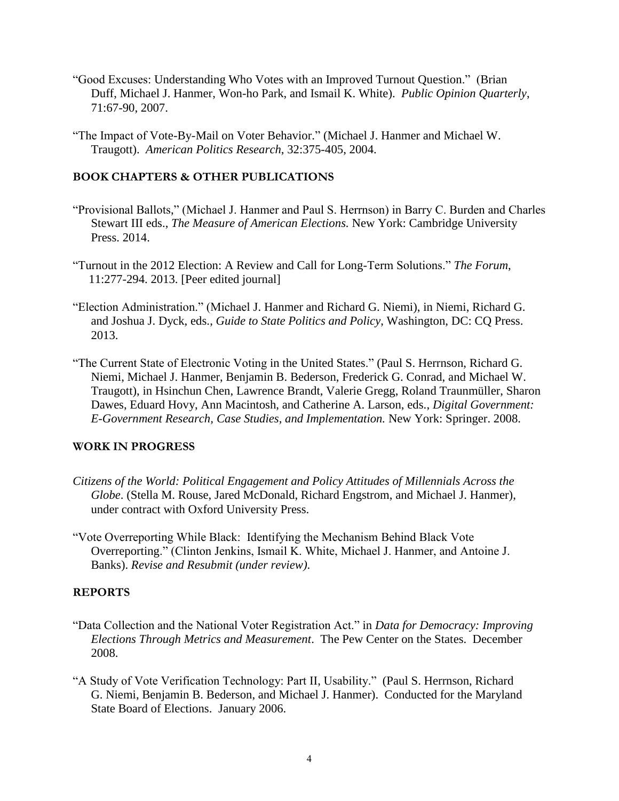- "Good Excuses: Understanding Who Votes with an Improved Turnout Question." (Brian Duff, Michael J. Hanmer, Won-ho Park, and Ismail K. White). *Public Opinion Quarterly*, 71:67-90, 2007.
- "The Impact of Vote-By-Mail on Voter Behavior." (Michael J. Hanmer and Michael W. Traugott). *American Politics Research*, 32:375-405, 2004.

### **BOOK CHAPTERS & OTHER PUBLICATIONS**

- "Provisional Ballots," (Michael J. Hanmer and Paul S. Herrnson) in Barry C. Burden and Charles Stewart III eds., *The Measure of American Elections.* New York: Cambridge University Press. 2014.
- "Turnout in the 2012 Election: A Review and Call for Long-Term Solutions." *The Forum*, 11:277-294. 2013. [Peer edited journal]
- "Election Administration." (Michael J. Hanmer and Richard G. Niemi), in Niemi, Richard G. and Joshua J. Dyck, eds., *Guide to State Politics and Policy*, Washington, DC: CQ Press. 2013.
- "The Current State of Electronic Voting in the United States." (Paul S. Herrnson, Richard G. Niemi, Michael J. Hanmer, Benjamin B. Bederson, Frederick G. Conrad, and Michael W. Traugott), in Hsinchun Chen, Lawrence Brandt, Valerie Gregg, Roland Traunmüller, Sharon Dawes, Eduard Hovy, Ann Macintosh, and Catherine A. Larson, eds., *Digital Government: E-Government Research, Case Studies, and Implementation.* New York: Springer. 2008.

#### **WORK IN PROGRESS**

- *Citizens of the World: Political Engagement and Policy Attitudes of Millennials Across the Globe*. (Stella M. Rouse, Jared McDonald, Richard Engstrom, and Michael J. Hanmer), under contract with Oxford University Press.
- "Vote Overreporting While Black: Identifying the Mechanism Behind Black Vote Overreporting." (Clinton Jenkins, Ismail K. White, Michael J. Hanmer, and Antoine J. Banks). *Revise and Resubmit (under review)*.

### **REPORTS**

- "Data Collection and the National Voter Registration Act." in *Data for Democracy: Improving Elections Through Metrics and Measurement*. The Pew Center on the States. December 2008.
- "A Study of Vote Verification Technology: Part II, Usability." (Paul S. Herrnson, Richard G. Niemi, Benjamin B. Bederson, and Michael J. Hanmer). Conducted for the Maryland State Board of Elections. January 2006.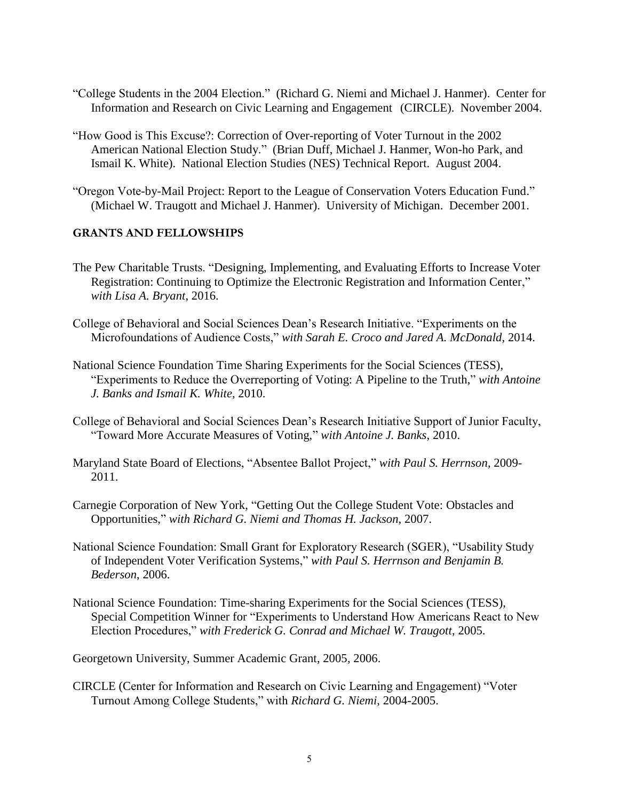- "College Students in the 2004 Election." (Richard G. Niemi and Michael J. Hanmer). Center for Information and Research on Civic Learning and Engagement (CIRCLE). November 2004.
- "How Good is This Excuse?: Correction of Over-reporting of Voter Turnout in the 2002 American National Election Study." (Brian Duff, Michael J. Hanmer, Won-ho Park, and Ismail K. White). National Election Studies (NES) Technical Report. August 2004.
- "Oregon Vote-by-Mail Project: Report to the League of Conservation Voters Education Fund." (Michael W. Traugott and Michael J. Hanmer). University of Michigan. December 2001.

#### **GRANTS AND FELLOWSHIPS**

- The Pew Charitable Trusts. "Designing, Implementing, and Evaluating Efforts to Increase Voter Registration: Continuing to Optimize the Electronic Registration and Information Center," *with Lisa A. Bryant*, 2016.
- College of Behavioral and Social Sciences Dean's Research Initiative. "Experiments on the Microfoundations of Audience Costs," *with Sarah E. Croco and Jared A. McDonald*, 2014.
- National Science Foundation Time Sharing Experiments for the Social Sciences (TESS), "Experiments to Reduce the Overreporting of Voting: A Pipeline to the Truth," *with Antoine J. Banks and Ismail K. White*, 2010.
- College of Behavioral and Social Sciences Dean's Research Initiative Support of Junior Faculty, "Toward More Accurate Measures of Voting," *with Antoine J. Banks*, 2010.
- Maryland State Board of Elections, "Absentee Ballot Project," *with Paul S. Herrnson*, 2009- 2011.
- Carnegie Corporation of New York, "Getting Out the College Student Vote: Obstacles and Opportunities," *with Richard G. Niemi and Thomas H. Jackson*, 2007.
- National Science Foundation: Small Grant for Exploratory Research (SGER), "Usability Study of Independent Voter Verification Systems," *with Paul S. Herrnson and Benjamin B. Bederson*, 2006.
- National Science Foundation: Time-sharing Experiments for the Social Sciences (TESS), Special Competition Winner for "Experiments to Understand How Americans React to New Election Procedures," *with Frederick G. Conrad and Michael W. Traugott*, 2005.

Georgetown University, Summer Academic Grant, 2005, 2006.

CIRCLE (Center for Information and Research on Civic Learning and Engagement) "Voter Turnout Among College Students," with *Richard G. Niemi*, 2004-2005.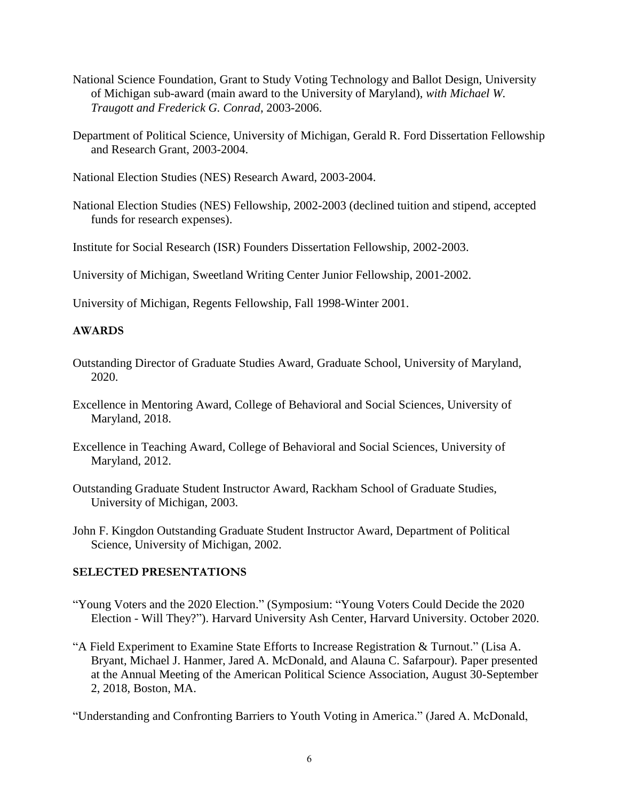- National Science Foundation, Grant to Study Voting Technology and Ballot Design, University of Michigan sub-award (main award to the University of Maryland), *with Michael W. Traugott and Frederick G. Conrad*, 2003-2006.
- Department of Political Science, University of Michigan, Gerald R. Ford Dissertation Fellowship and Research Grant, 2003-2004.
- National Election Studies (NES) Research Award, 2003-2004.
- National Election Studies (NES) Fellowship, 2002-2003 (declined tuition and stipend, accepted funds for research expenses).

Institute for Social Research (ISR) Founders Dissertation Fellowship, 2002-2003.

University of Michigan, Sweetland Writing Center Junior Fellowship, 2001-2002.

University of Michigan, Regents Fellowship, Fall 1998-Winter 2001.

### **AWARDS**

- Outstanding Director of Graduate Studies Award, Graduate School, University of Maryland, 2020.
- Excellence in Mentoring Award, College of Behavioral and Social Sciences, University of Maryland, 2018.
- Excellence in Teaching Award, College of Behavioral and Social Sciences, University of Maryland, 2012.
- Outstanding Graduate Student Instructor Award, Rackham School of Graduate Studies, University of Michigan, 2003.
- John F. Kingdon Outstanding Graduate Student Instructor Award, Department of Political Science, University of Michigan, 2002.

#### **SELECTED PRESENTATIONS**

- "Young Voters and the 2020 Election." (Symposium: "Young Voters Could Decide the 2020 Election - Will They?"). Harvard University Ash Center, Harvard University. October 2020.
- "A Field Experiment to Examine State Efforts to Increase Registration & Turnout." (Lisa A. Bryant, Michael J. Hanmer, Jared A. McDonald, and Alauna C. Safarpour). Paper presented at the Annual Meeting of the American Political Science Association, August 30-September 2, 2018, Boston, MA.
- "Understanding and Confronting Barriers to Youth Voting in America." (Jared A. McDonald,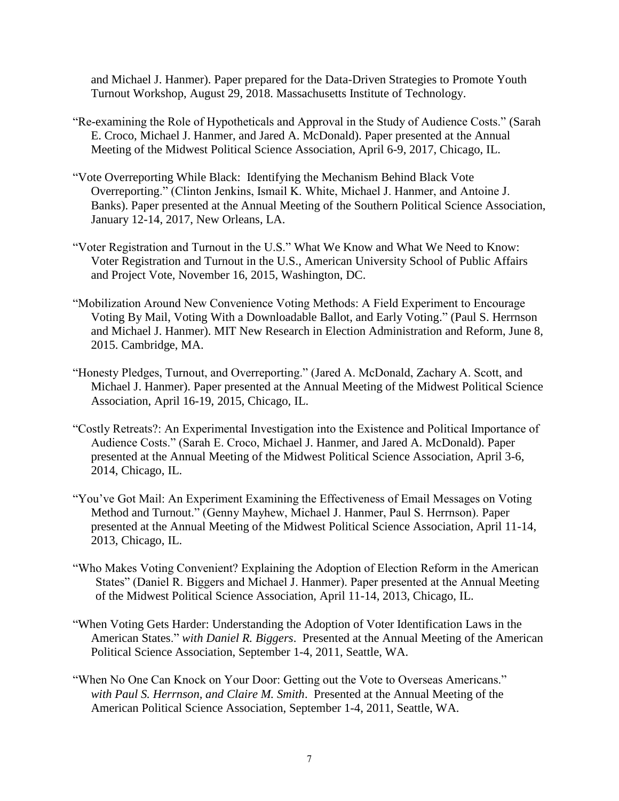and Michael J. Hanmer). Paper prepared for the Data-Driven Strategies to Promote Youth Turnout Workshop, August 29, 2018. Massachusetts Institute of Technology.

- "Re-examining the Role of Hypotheticals and Approval in the Study of Audience Costs." (Sarah E. Croco, Michael J. Hanmer, and Jared A. McDonald). Paper presented at the Annual Meeting of the Midwest Political Science Association, April 6-9, 2017, Chicago, IL.
- "Vote Overreporting While Black: Identifying the Mechanism Behind Black Vote Overreporting." (Clinton Jenkins, Ismail K. White, Michael J. Hanmer, and Antoine J. Banks). Paper presented at the Annual Meeting of the Southern Political Science Association, January 12-14, 2017, New Orleans, LA.
- "Voter Registration and Turnout in the U.S." What We Know and What We Need to Know: Voter Registration and Turnout in the U.S., American University School of Public Affairs and Project Vote, November 16, 2015, Washington, DC.
- "Mobilization Around New Convenience Voting Methods: A Field Experiment to Encourage Voting By Mail, Voting With a Downloadable Ballot, and Early Voting." (Paul S. Herrnson and Michael J. Hanmer). MIT New Research in Election Administration and Reform, June 8, 2015. Cambridge, MA.
- "Honesty Pledges, Turnout, and Overreporting." (Jared A. McDonald, Zachary A. Scott, and Michael J. Hanmer). Paper presented at the Annual Meeting of the Midwest Political Science Association, April 16-19, 2015, Chicago, IL.
- "Costly Retreats?: An Experimental Investigation into the Existence and Political Importance of Audience Costs." (Sarah E. Croco, Michael J. Hanmer, and Jared A. McDonald). Paper presented at the Annual Meeting of the Midwest Political Science Association, April 3-6, 2014, Chicago, IL.
- "You've Got Mail: An Experiment Examining the Effectiveness of Email Messages on Voting Method and Turnout." (Genny Mayhew, Michael J. Hanmer, Paul S. Herrnson). Paper presented at the Annual Meeting of the Midwest Political Science Association, April 11-14, 2013, Chicago, IL.
- "Who Makes Voting Convenient? Explaining the Adoption of Election Reform in the American States" (Daniel R. Biggers and Michael J. Hanmer). Paper presented at the Annual Meeting of the Midwest Political Science Association, April 11-14, 2013, Chicago, IL.
- "When Voting Gets Harder: Understanding the Adoption of Voter Identification Laws in the American States." *with Daniel R. Biggers*. Presented at the Annual Meeting of the American Political Science Association, September 1-4, 2011, Seattle, WA.
- "When No One Can Knock on Your Door: Getting out the Vote to Overseas Americans." *with Paul S. Herrnson, and Claire M. Smith*. Presented at the Annual Meeting of the American Political Science Association, September 1-4, 2011, Seattle, WA.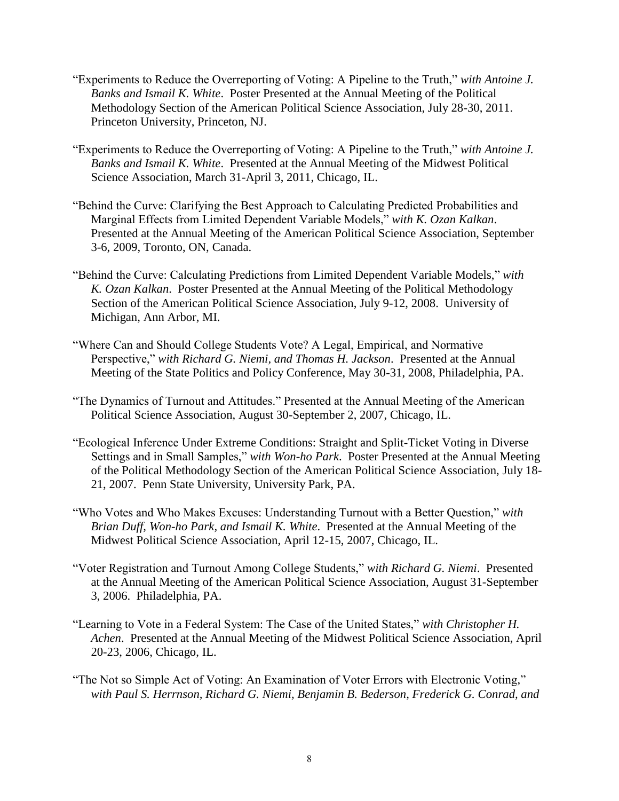- "Experiments to Reduce the Overreporting of Voting: A Pipeline to the Truth," *with Antoine J. Banks and Ismail K. White*. Poster Presented at the Annual Meeting of the Political Methodology Section of the American Political Science Association, July 28-30, 2011. Princeton University, Princeton, NJ.
- "Experiments to Reduce the Overreporting of Voting: A Pipeline to the Truth," *with Antoine J. Banks and Ismail K. White*. Presented at the Annual Meeting of the Midwest Political Science Association, March 31-April 3, 2011, Chicago, IL.
- "Behind the Curve: Clarifying the Best Approach to Calculating Predicted Probabilities and Marginal Effects from Limited Dependent Variable Models," *with K. Ozan Kalkan*. Presented at the Annual Meeting of the American Political Science Association, September 3-6, 2009, Toronto, ON, Canada.
- "Behind the Curve: Calculating Predictions from Limited Dependent Variable Models," *with K. Ozan Kalkan*. Poster Presented at the Annual Meeting of the Political Methodology Section of the American Political Science Association, July 9-12, 2008. University of Michigan, Ann Arbor, MI.
- "Where Can and Should College Students Vote? A Legal, Empirical, and Normative Perspective," *with Richard G. Niemi, and Thomas H. Jackson*. Presented at the Annual Meeting of the State Politics and Policy Conference, May 30-31, 2008, Philadelphia, PA.
- "The Dynamics of Turnout and Attitudes." Presented at the Annual Meeting of the American Political Science Association, August 30-September 2, 2007, Chicago, IL.
- "Ecological Inference Under Extreme Conditions: Straight and Split-Ticket Voting in Diverse Settings and in Small Samples," *with Won-ho Park*. Poster Presented at the Annual Meeting of the Political Methodology Section of the American Political Science Association, July 18- 21, 2007. Penn State University, University Park, PA.
- "Who Votes and Who Makes Excuses: Understanding Turnout with a Better Question," *with Brian Duff, Won-ho Park, and Ismail K. White*. Presented at the Annual Meeting of the Midwest Political Science Association, April 12-15, 2007, Chicago, IL.
- "Voter Registration and Turnout Among College Students," *with Richard G. Niemi*. Presented at the Annual Meeting of the American Political Science Association, August 31-September 3, 2006. Philadelphia, PA.
- "Learning to Vote in a Federal System: The Case of the United States," *with Christopher H. Achen*. Presented at the Annual Meeting of the Midwest Political Science Association, April 20-23, 2006, Chicago, IL.
- "The Not so Simple Act of Voting: An Examination of Voter Errors with Electronic Voting," *with Paul S. Herrnson, Richard G. Niemi, Benjamin B. Bederson, Frederick G. Conrad, and*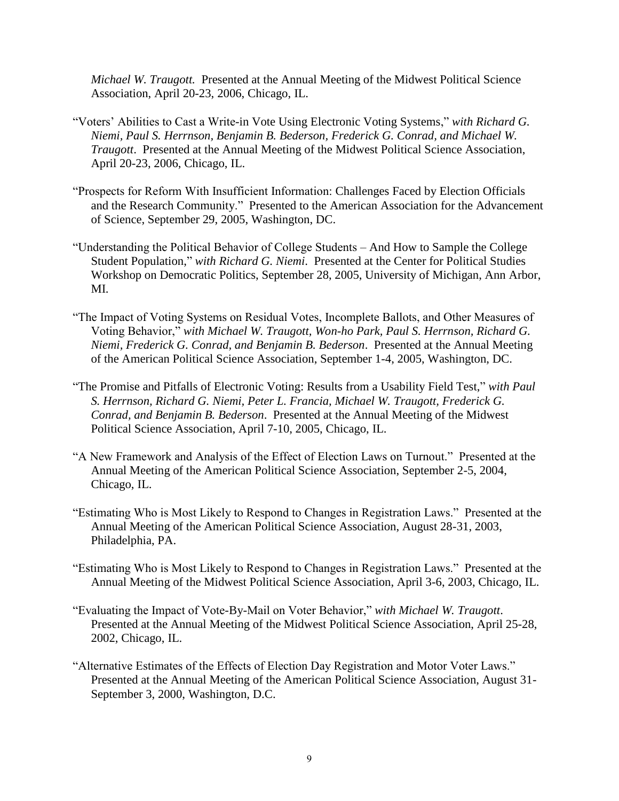*Michael W. Traugott.* Presented at the Annual Meeting of the Midwest Political Science Association, April 20-23, 2006, Chicago, IL.

- "Voters' Abilities to Cast a Write-in Vote Using Electronic Voting Systems," *with Richard G. Niemi, Paul S. Herrnson, Benjamin B. Bederson, Frederick G. Conrad, and Michael W. Traugott*. Presented at the Annual Meeting of the Midwest Political Science Association, April 20-23, 2006, Chicago, IL.
- "Prospects for Reform With Insufficient Information: Challenges Faced by Election Officials and the Research Community." Presented to the American Association for the Advancement of Science, September 29, 2005, Washington, DC.
- "Understanding the Political Behavior of College Students And How to Sample the College Student Population," *with Richard G. Niemi*. Presented at the Center for Political Studies Workshop on Democratic Politics, September 28, 2005, University of Michigan, Ann Arbor, MI.
- "The Impact of Voting Systems on Residual Votes, Incomplete Ballots, and Other Measures of Voting Behavior," *with Michael W. Traugott, Won-ho Park, Paul S. Herrnson, Richard G. Niemi, Frederick G. Conrad, and Benjamin B. Bederson*. Presented at the Annual Meeting of the American Political Science Association, September 1-4, 2005, Washington, DC.
- "The Promise and Pitfalls of Electronic Voting: Results from a Usability Field Test," *with Paul S. Herrnson, Richard G. Niemi, Peter L. Francia, Michael W. Traugott, Frederick G. Conrad, and Benjamin B. Bederson*. Presented at the Annual Meeting of the Midwest Political Science Association, April 7-10, 2005, Chicago, IL.
- "A New Framework and Analysis of the Effect of Election Laws on Turnout." Presented at the Annual Meeting of the American Political Science Association, September 2-5, 2004, Chicago, IL.
- "Estimating Who is Most Likely to Respond to Changes in Registration Laws." Presented at the Annual Meeting of the American Political Science Association, August 28-31, 2003, Philadelphia, PA.
- "Estimating Who is Most Likely to Respond to Changes in Registration Laws." Presented at the Annual Meeting of the Midwest Political Science Association, April 3-6, 2003, Chicago, IL.
- "Evaluating the Impact of Vote-By-Mail on Voter Behavior," *with Michael W. Traugott*. Presented at the Annual Meeting of the Midwest Political Science Association, April 25-28, 2002, Chicago, IL.
- "Alternative Estimates of the Effects of Election Day Registration and Motor Voter Laws." Presented at the Annual Meeting of the American Political Science Association, August 31- September 3, 2000, Washington, D.C.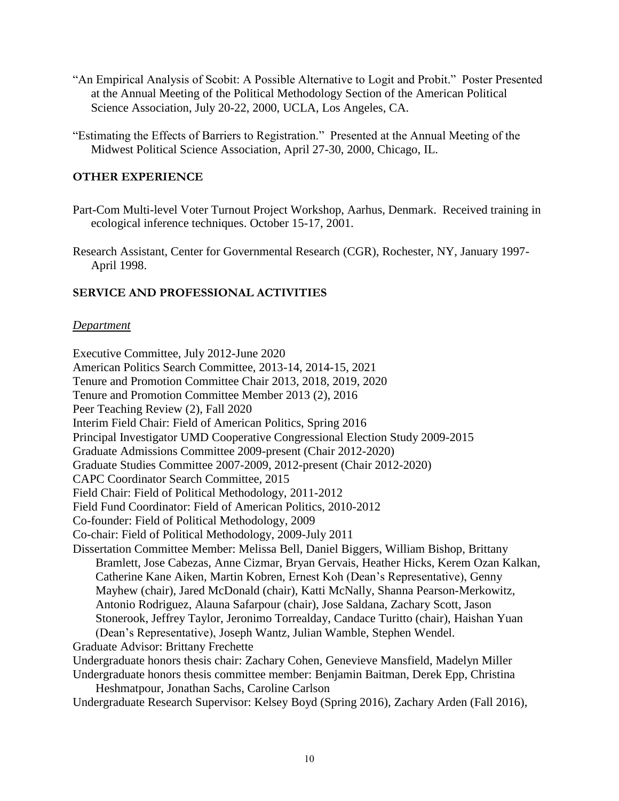- "An Empirical Analysis of Scobit: A Possible Alternative to Logit and Probit." Poster Presented at the Annual Meeting of the Political Methodology Section of the American Political Science Association, July 20-22, 2000, UCLA, Los Angeles, CA.
- "Estimating the Effects of Barriers to Registration." Presented at the Annual Meeting of the Midwest Political Science Association, April 27-30, 2000, Chicago, IL.

## **OTHER EXPERIENCE**

- Part-Com Multi-level Voter Turnout Project Workshop, Aarhus, Denmark. Received training in ecological inference techniques. October 15-17, 2001.
- Research Assistant, Center for Governmental Research (CGR), Rochester, NY, January 1997- April 1998.

### **SERVICE AND PROFESSIONAL ACTIVITIES**

#### *Department*

Executive Committee, July 2012-June 2020 American Politics Search Committee, 2013-14, 2014-15, 2021 Tenure and Promotion Committee Chair 2013, 2018, 2019, 2020 Tenure and Promotion Committee Member 2013 (2), 2016 Peer Teaching Review (2), Fall 2020 Interim Field Chair: Field of American Politics, Spring 2016 Principal Investigator UMD Cooperative Congressional Election Study 2009-2015 Graduate Admissions Committee 2009-present (Chair 2012-2020) Graduate Studies Committee 2007-2009, 2012-present (Chair 2012-2020) CAPC Coordinator Search Committee, 2015 Field Chair: Field of Political Methodology, 2011-2012 Field Fund Coordinator: Field of American Politics, 2010-2012 Co-founder: Field of Political Methodology, 2009 Co-chair: Field of Political Methodology, 2009-July 2011 Dissertation Committee Member: Melissa Bell, Daniel Biggers, William Bishop, Brittany Bramlett, Jose Cabezas, Anne Cizmar, Bryan Gervais, Heather Hicks, Kerem Ozan Kalkan, Catherine Kane Aiken, Martin Kobren, Ernest Koh (Dean's Representative), Genny Mayhew (chair), Jared McDonald (chair), Katti McNally, Shanna Pearson-Merkowitz, Antonio Rodriguez, Alauna Safarpour (chair), Jose Saldana, Zachary Scott, Jason Stonerook, Jeffrey Taylor, Jeronimo Torrealday, Candace Turitto (chair), Haishan Yuan (Dean's Representative), Joseph Wantz, Julian Wamble, Stephen Wendel. Graduate Advisor: Brittany Frechette Undergraduate honors thesis chair: Zachary Cohen, Genevieve Mansfield, Madelyn Miller Undergraduate honors thesis committee member: Benjamin Baitman, Derek Epp, Christina Heshmatpour, Jonathan Sachs, Caroline Carlson Undergraduate Research Supervisor: Kelsey Boyd (Spring 2016), Zachary Arden (Fall 2016),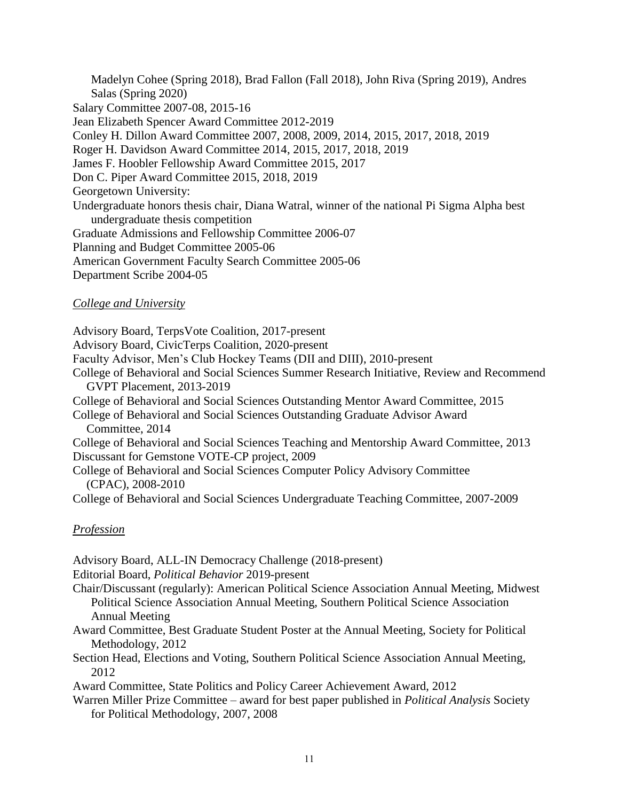Madelyn Cohee (Spring 2018), Brad Fallon (Fall 2018), John Riva (Spring 2019), Andres Salas (Spring 2020) Salary Committee 2007-08, 2015-16 Jean Elizabeth Spencer Award Committee 2012-2019 Conley H. Dillon Award Committee 2007, 2008, 2009, 2014, 2015, 2017, 2018, 2019 Roger H. Davidson Award Committee 2014, 2015, 2017, 2018, 2019 James F. Hoobler Fellowship Award Committee 2015, 2017 Don C. Piper Award Committee 2015, 2018, 2019 Georgetown University: Undergraduate honors thesis chair, Diana Watral, winner of the national Pi Sigma Alpha best undergraduate thesis competition Graduate Admissions and Fellowship Committee 2006-07 Planning and Budget Committee 2005-06 American Government Faculty Search Committee 2005-06 Department Scribe 2004-05

## *College and University*

Advisory Board, TerpsVote Coalition, 2017-present Advisory Board, CivicTerps Coalition, 2020-present Faculty Advisor, Men's Club Hockey Teams (DII and DIII), 2010-present College of Behavioral and Social Sciences Summer Research Initiative, Review and Recommend GVPT Placement, 2013-2019 College of Behavioral and Social Sciences Outstanding Mentor Award Committee, 2015 College of Behavioral and Social Sciences Outstanding Graduate Advisor Award Committee, 2014 College of Behavioral and Social Sciences Teaching and Mentorship Award Committee, 2013 Discussant for Gemstone VOTE-CP project, 2009 College of Behavioral and Social Sciences Computer Policy Advisory Committee (CPAC), 2008-2010 College of Behavioral and Social Sciences Undergraduate Teaching Committee, 2007-2009

## *Profession*

Advisory Board, ALL-IN Democracy Challenge (2018-present)

Editorial Board, *Political Behavior* 2019-present

- Chair/Discussant (regularly): American Political Science Association Annual Meeting, Midwest Political Science Association Annual Meeting, Southern Political Science Association Annual Meeting
- Award Committee, Best Graduate Student Poster at the Annual Meeting, Society for Political Methodology, 2012
- Section Head, Elections and Voting, Southern Political Science Association Annual Meeting, 2012

Award Committee, State Politics and Policy Career Achievement Award, 2012

Warren Miller Prize Committee – award for best paper published in *Political Analysis* Society for Political Methodology, 2007, 2008